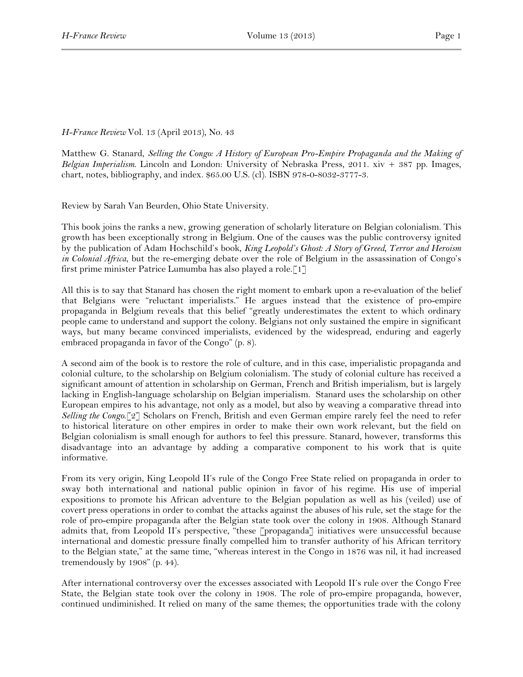## *H-France Review* Vol. 13 (April 2013), No. 43

Matthew G. Stanard, *Selling the Congo: A History of European Pro-Empire Propaganda and the Making of Belgian Imperialism*. Lincoln and London: University of Nebraska Press, 2011. xiv + 387 pp. Images, chart, notes, bibliography, and index. \$65.00 U.S. (cl). ISBN 978-0-8032-3777-3.

Review by Sarah Van Beurden, Ohio State University.

This book joins the ranks a new, growing generation of scholarly literature on Belgian colonialism. This growth has been exceptionally strong in Belgium. One of the causes was the public controversy ignited by the publication of Adam Hochschild's book, *King Leopold's Ghost: A Story of Greed, Terror and Heroism in Colonial Africa*, but the re-emerging debate over the role of Belgium in the assassination of Congo's first prime minister Patrice Lumumba has also played a role.[1]

All this is to say that Stanard has chosen the right moment to embark upon a re-evaluation of the belief that Belgians were "reluctant imperialists." He argues instead that the existence of pro-empire propaganda in Belgium reveals that this belief "greatly underestimates the extent to which ordinary people came to understand and support the colony. Belgians not only sustained the empire in significant ways, but many became convinced imperialists, evidenced by the widespread, enduring and eagerly embraced propaganda in favor of the Congo" (p. 8).

A second aim of the book is to restore the role of culture, and in this case, imperialistic propaganda and colonial culture, to the scholarship on Belgium colonialism. The study of colonial culture has received a significant amount of attention in scholarship on German, French and British imperialism, but is largely lacking in English-language scholarship on Belgian imperialism. Stanard uses the scholarship on other European empires to his advantage, not only as a model, but also by weaving a comparative thread into *Selling the Congo*.[2] Scholars on French, British and even German empire rarely feel the need to refer to historical literature on other empires in order to make their own work relevant, but the field on Belgian colonialism is small enough for authors to feel this pressure. Stanard, however, transforms this disadvantage into an advantage by adding a comparative component to his work that is quite informative.

From its very origin, King Leopold II's rule of the Congo Free State relied on propaganda in order to sway both international and national public opinion in favor of his regime. His use of imperial expositions to promote his African adventure to the Belgian population as well as his (veiled) use of covert press operations in order to combat the attacks against the abuses of his rule, set the stage for the role of pro-empire propaganda after the Belgian state took over the colony in 1908. Although Stanard admits that, from Leopold II's perspective, "these [propaganda] initiatives were unsuccessful because international and domestic pressure finally compelled him to transfer authority of his African territory to the Belgian state," at the same time, "whereas interest in the Congo in 1876 was nil, it had increased tremendously by 1908" (p. 44).

After international controversy over the excesses associated with Leopold II's rule over the Congo Free State, the Belgian state took over the colony in 1908. The role of pro-empire propaganda, however, continued undiminished. It relied on many of the same themes; the opportunities trade with the colony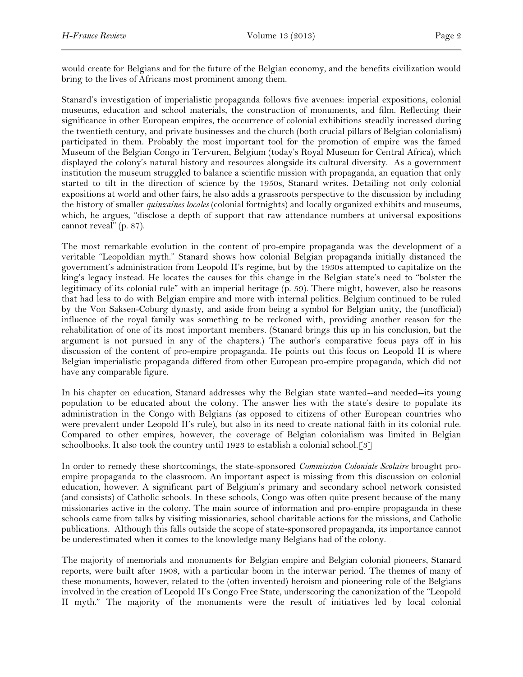would create for Belgians and for the future of the Belgian economy, and the benefits civilization would bring to the lives of Africans most prominent among them.

Stanard's investigation of imperialistic propaganda follows five avenues: imperial expositions, colonial museums, education and school materials, the construction of monuments, and film. Reflecting their significance in other European empires, the occurrence of colonial exhibitions steadily increased during the twentieth century, and private businesses and the church (both crucial pillars of Belgian colonialism) participated in them. Probably the most important tool for the promotion of empire was the famed Museum of the Belgian Congo in Tervuren, Belgium (today's Royal Museum for Central Africa), which displayed the colony's natural history and resources alongside its cultural diversity. As a government institution the museum struggled to balance a scientific mission with propaganda, an equation that only started to tilt in the direction of science by the 1950s, Stanard writes. Detailing not only colonial expositions at world and other fairs, he also adds a grassroots perspective to the discussion by including the history of smaller *quinzaines locales* (colonial fortnights) and locally organized exhibits and museums, which, he argues, "disclose a depth of support that raw attendance numbers at universal expositions cannot reveal" (p. 87).

The most remarkable evolution in the content of pro-empire propaganda was the development of a veritable "Leopoldian myth." Stanard shows how colonial Belgian propaganda initially distanced the government's administration from Leopold II's regime, but by the 1930s attempted to capitalize on the king's legacy instead. He locates the causes for this change in the Belgian state's need to "bolster the legitimacy of its colonial rule" with an imperial heritage (p. 59). There might, however, also be reasons that had less to do with Belgian empire and more with internal politics. Belgium continued to be ruled by the Von Saksen-Coburg dynasty, and aside from being a symbol for Belgian unity, the (unofficial) influence of the royal family was something to be reckoned with, providing another reason for the rehabilitation of one of its most important members. (Stanard brings this up in his conclusion, but the argument is not pursued in any of the chapters.) The author's comparative focus pays off in his discussion of the content of pro-empire propaganda. He points out this focus on Leopold II is where Belgian imperialistic propaganda differed from other European pro-empire propaganda, which did not have any comparable figure.

In his chapter on education, Stanard addresses why the Belgian state wanted--and needed--its young population to be educated about the colony. The answer lies with the state's desire to populate its administration in the Congo with Belgians (as opposed to citizens of other European countries who were prevalent under Leopold II's rule), but also in its need to create national faith in its colonial rule. Compared to other empires, however, the coverage of Belgian colonialism was limited in Belgian schoolbooks. It also took the country until 1923 to establish a colonial school.[3]

In order to remedy these shortcomings, the state-sponsored *Commission Coloniale Scolaire* brought proempire propaganda to the classroom. An important aspect is missing from this discussion on colonial education, however. A significant part of Belgium's primary and secondary school network consisted (and consists) of Catholic schools. In these schools, Congo was often quite present because of the many missionaries active in the colony. The main source of information and pro-empire propaganda in these schools came from talks by visiting missionaries, school charitable actions for the missions, and Catholic publications. Although this falls outside the scope of state-sponsored propaganda, its importance cannot be underestimated when it comes to the knowledge many Belgians had of the colony.

The majority of memorials and monuments for Belgian empire and Belgian colonial pioneers, Stanard reports, were built after 1908, with a particular boom in the interwar period. The themes of many of these monuments, however, related to the (often invented) heroism and pioneering role of the Belgians involved in the creation of Leopold II's Congo Free State, underscoring the canonization of the "Leopold II myth." The majority of the monuments were the result of initiatives led by local colonial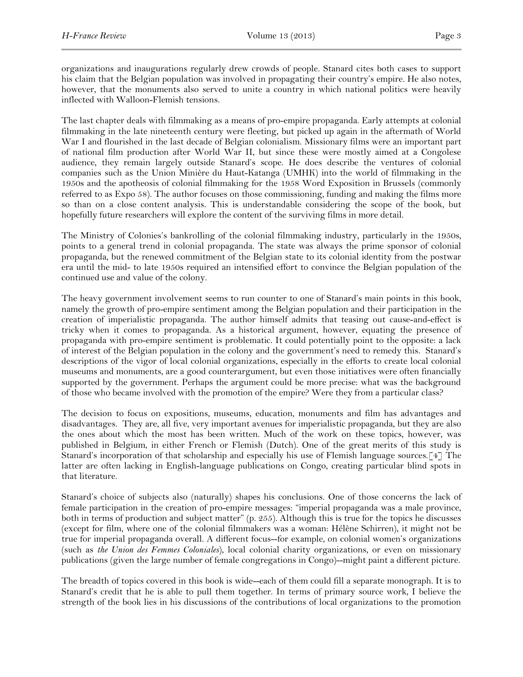organizations and inaugurations regularly drew crowds of people. Stanard cites both cases to support his claim that the Belgian population was involved in propagating their country's empire. He also notes, however, that the monuments also served to unite a country in which national politics were heavily inflected with Walloon-Flemish tensions.

The last chapter deals with filmmaking as a means of pro-empire propaganda. Early attempts at colonial filmmaking in the late nineteenth century were fleeting, but picked up again in the aftermath of World War I and flourished in the last decade of Belgian colonialism. Missionary films were an important part of national film production after World War II, but since these were mostly aimed at a Congolese audience, they remain largely outside Stanard's scope. He does describe the ventures of colonial companies such as the Union Minière du Haut-Katanga (UMHK) into the world of filmmaking in the 1950s and the apotheosis of colonial filmmaking for the 1958 Word Exposition in Brussels (commonly referred to as Expo 58). The author focuses on those commissioning, funding and making the films more so than on a close content analysis. This is understandable considering the scope of the book, but hopefully future researchers will explore the content of the surviving films in more detail.

The Ministry of Colonies's bankrolling of the colonial filmmaking industry, particularly in the 1950s, points to a general trend in colonial propaganda. The state was always the prime sponsor of colonial propaganda, but the renewed commitment of the Belgian state to its colonial identity from the postwar era until the mid- to late 1950s required an intensified effort to convince the Belgian population of the continued use and value of the colony.

The heavy government involvement seems to run counter to one of Stanard's main points in this book, namely the growth of pro-empire sentiment among the Belgian population and their participation in the creation of imperialistic propaganda. The author himself admits that teasing out cause-and-effect is tricky when it comes to propaganda. As a historical argument, however, equating the presence of propaganda with pro-empire sentiment is problematic. It could potentially point to the opposite: a lack of interest of the Belgian population in the colony and the government's need to remedy this. Stanard's descriptions of the vigor of local colonial organizations, especially in the efforts to create local colonial museums and monuments, are a good counterargument, but even those initiatives were often financially supported by the government. Perhaps the argument could be more precise: what was the background of those who became involved with the promotion of the empire? Were they from a particular class?

The decision to focus on expositions, museums, education, monuments and film has advantages and disadvantages. They are, all five, very important avenues for imperialistic propaganda, but they are also the ones about which the most has been written. Much of the work on these topics, however, was published in Belgium, in either French or Flemish (Dutch). One of the great merits of this study is Stanard's incorporation of that scholarship and especially his use of Flemish language sources.[4] The latter are often lacking in English-language publications on Congo, creating particular blind spots in that literature.

Stanard's choice of subjects also (naturally) shapes his conclusions. One of those concerns the lack of female participation in the creation of pro-empire messages: "imperial propaganda was a male province, both in terms of production and subject matter" (p. 255). Although this is true for the topics he discusses (except for film, where one of the colonial filmmakers was a woman: Hélène Schirren), it might not be true for imperial propaganda overall. A different focus--for example, on colonial women's organizations (such as *the Union des Femmes Coloniales*), local colonial charity organizations, or even on missionary publications (given the large number of female congregations in Congo)--might paint a different picture.

The breadth of topics covered in this book is wide--each of them could fill a separate monograph. It is to Stanard's credit that he is able to pull them together. In terms of primary source work, I believe the strength of the book lies in his discussions of the contributions of local organizations to the promotion